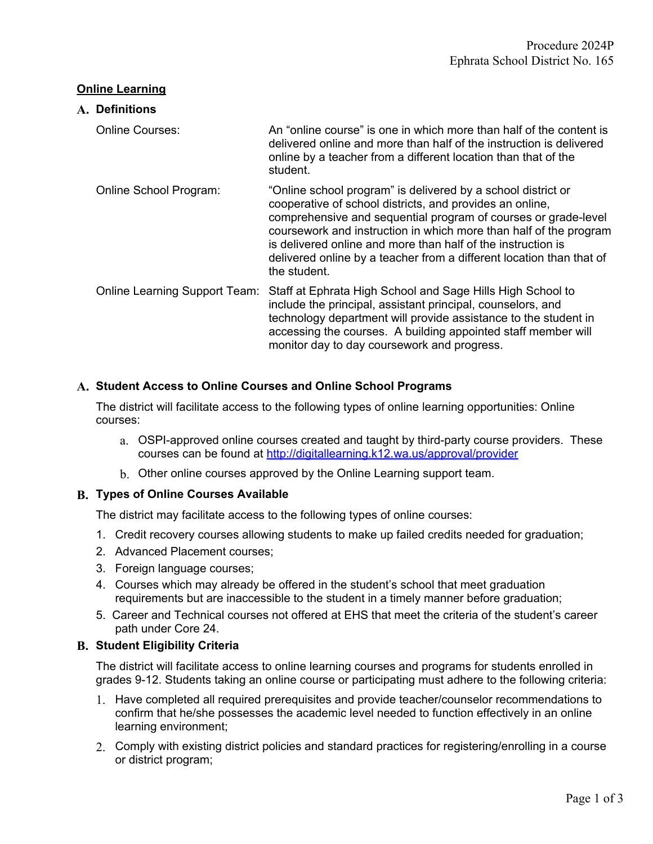### **Online Learning**

# **A. Definitions** Online Courses: An "online course" is one in which more than half of the content is delivered online and more than half of the instruction is delivered online by a teacher from a different location than that of the student. Online School Program: "Online school program" is delivered by a school district or cooperative of school districts, and provides an online, comprehensive and sequential program of courses or grade-level coursework and instruction in which more than half of the program is delivered online and more than half of the instruction is delivered online by a teacher from a different location than that of the student. Online Learning Support Team: Staff at Ephrata High School and Sage Hills High School to include the principal, assistant principal, counselors, and technology department will provide assistance to the student in accessing the courses. A building appointed staff member will monitor day to day coursework and progress.

# **A. Student Access to Online Courses and Online School Programs**

The district will facilitate access to the following types of online learning opportunities: Online courses:

- a. OSPI-approved online courses created and taught by third-party course providers. These courses can be found at <http://digitallearning.k12.wa.us/approval/provider>
- b. Other online courses approved by the Online Learning support team.

### **B. Types of Online Courses Available**

The district may facilitate access to the following types of online courses:

- 1. Credit recovery courses allowing students to make up failed credits needed for graduation;
- 2. Advanced Placement courses;
- 3. Foreign language courses;
- 4. Courses which may already be offered in the student's school that meet graduation requirements but are inaccessible to the student in a timely manner before graduation;
- 5. Career and Technical courses not offered at EHS that meet the criteria of the student's career path under Core 24.

### **B. Student Eligibility Criteria**

The district will facilitate access to online learning courses and programs for students enrolled in grades 9-12. Students taking an online course or participating must adhere to the following criteria:

- 1. Have completed all required prerequisites and provide teacher/counselor recommendations to confirm that he/she possesses the academic level needed to function effectively in an online learning environment;
- 2. Comply with existing district policies and standard practices for registering/enrolling in a course or district program;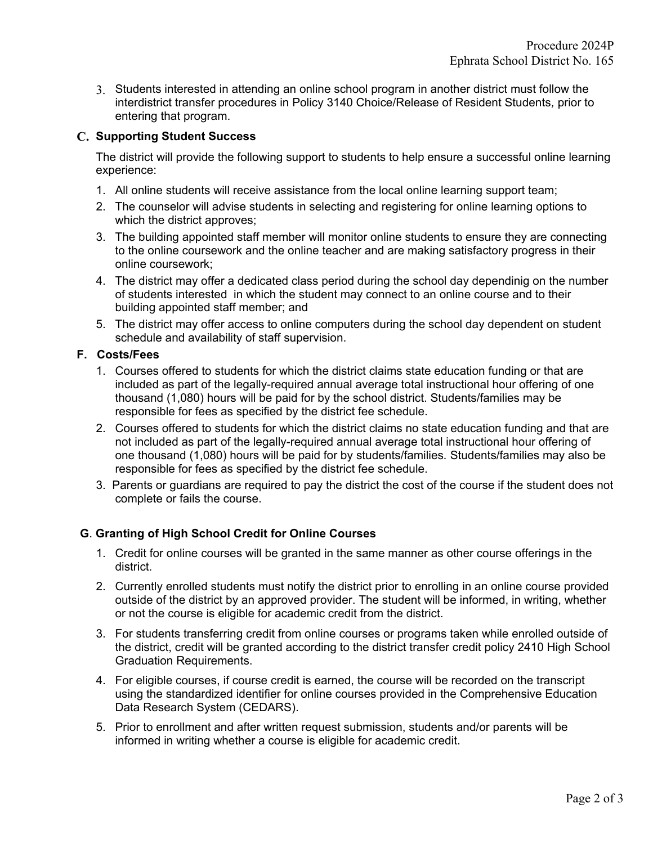3. Students interested in attending an online school program in another district must follow the interdistrict transfer procedures in Policy 3140 Choice/Release of Resident Students*,* prior to entering that program.

# **C. Supporting Student Success**

The district will provide the following support to students to help ensure a successful online learning experience:

- 1. All online students will receive assistance from the local online learning support team;
- 2. The counselor will advise students in selecting and registering for online learning options to which the district approves;
- 3. The building appointed staff member will monitor online students to ensure they are connecting to the online coursework and the online teacher and are making satisfactory progress in their online coursework;
- 4. The district may offer a dedicated class period during the school day dependinig on the number of students interested in which the student may connect to an online course and to their building appointed staff member; and
- 5. The district may offer access to online computers during the school day dependent on student schedule and availability of staff supervision.

# **F. Costs/Fees**

- 1. Courses offered to students for which the district claims state education funding or that are included as part of the legally-required annual average total instructional hour offering of one thousand (1,080) hours will be paid for by the school district. Students/families may be responsible for fees as specified by the district fee schedule.
- 2. Courses offered to students for which the district claims no state education funding and that are not included as part of the legally-required annual average total instructional hour offering of one thousand (1,080) hours will be paid for by students/families*.* Students/families may also be responsible for fees as specified by the district fee schedule.
- 3. Parents or guardians are required to pay the district the cost of the course if the student does not complete or fails the course.

# **G**. **Granting of High School Credit for Online Courses**

- 1. Credit for online courses will be granted in the same manner as other course offerings in the district.
- 2. Currently enrolled students must notify the district prior to enrolling in an online course provided outside of the district by an approved provider. The student will be informed, in writing, whether or not the course is eligible for academic credit from the district.
- 3. For students transferring credit from online courses or programs taken while enrolled outside of the district, credit will be granted according to the district transfer credit policy 2410 High School Graduation Requirements.
- 4. For eligible courses, if course credit is earned, the course will be recorded on the transcript using the standardized identifier for online courses provided in the Comprehensive Education Data Research System (CEDARS).
- 5. Prior to enrollment and after written request submission, students and/or parents will be informed in writing whether a course is eligible for academic credit.